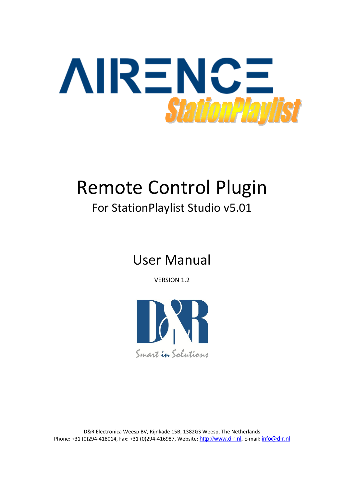

# Remote Control Plugin

# For StationPlaylist Studio v5.01

# User Manual

VERSION 1.2

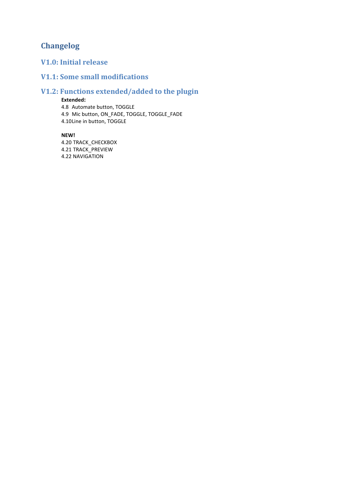# Changelog

# V1.0: Initial release

### V1.1: Some small modifications

### V1.2: Functions extended/added to the plugin

#### Extended:

4.8 Automate button, TOGGLE 4.9 Mic button, ON\_FADE, TOGGLE, TOGGLE\_FADE 4.10Line in button, TOGGLE

#### NEW!

4.20 TRACK\_CHECKBOX 4.21 TRACK\_PREVIEW 4.22 NAVIGATION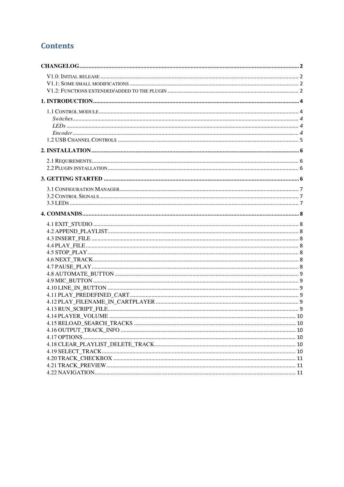# **Contents**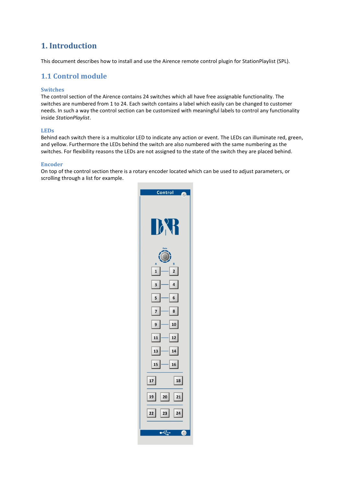# 1. Introduction

This document describes how to install and use the Airence remote control plugin for StationPlaylist (SPL).

### 1.1 Control module

#### Switches

The control section of the Airence contains 24 switches which all have free assignable functionality. The switches are numbered from 1 to 24. Each switch contains a label which easily can be changed to customer needs. In such a way the control section can be customized with meaningful labels to control any functionality inside StationPlaylist.

#### LEDs

Behind each switch there is a multicolor LED to indicate any action or event. The LEDs can illuminate red, green, and yellow. Furthermore the LEDs behind the switch are also numbered with the same numbering as the switches. For flexibility reasons the LEDs are not assigned to the state of the switch they are placed behind.

#### Encoder

On top of the control section there is a rotary encoder located which can be used to adjust parameters, or scrolling through a list for example.

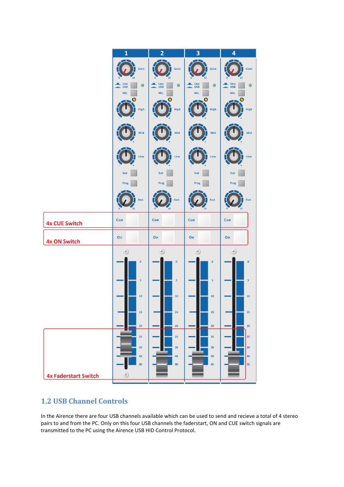

# 1.2 USB Channel Controls

In the Airence there are four USB channels available which can be used to send and recieve a total of 4 stereo pairs to and from the PC. Only on this four USB channels the faderstart, ON and CUE switch signals are transmitted to the PC using the Airence USB HID Control Protocol.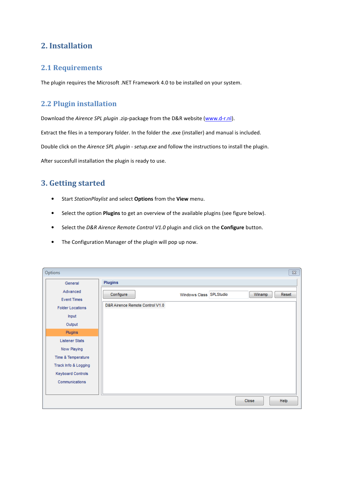# 2. Installation

#### 2.1 Requirements

The plugin requires the Microsoft .NET Framework 4.0 to be installed on your system.

### 2.2 Plugin installation

Download the Airence SPL plugin .zip-package from the D&R website (www.d-r.nl).

Extract the files in a temporary folder. In the folder the .exe (installer) and manual is included.

Double click on the Airence SPL plugin - setup.exe and follow the instructions to install the plugin.

After succesfull installation the plugin is ready to use.

# 3. Getting started

- Start StationPlaylist and select Options from the View menu.
- Select the option Plugins to get an overview of the available plugins (see figure below).
- Select the D&R Airence Remote Control V1.0 plugin and click on the Configure button.
- The Configuration Manager of the plugin will pop up now.

| Options                        |                                 |                         |        | $\Sigma$ |
|--------------------------------|---------------------------------|-------------------------|--------|----------|
| General                        | <b>Plugins</b>                  |                         |        |          |
| Advanced<br><b>Event Times</b> | Configure                       | Windows Class SPLStudio | Winamp | Reset    |
| <b>Folder Locations</b>        | D&R Airence Remote Control V1.0 |                         |        |          |
| Input                          |                                 |                         |        |          |
| Output                         |                                 |                         |        |          |
| Plugins                        |                                 |                         |        |          |
| <b>Listener Stats</b>          |                                 |                         |        |          |
| Now Playing                    |                                 |                         |        |          |
| Time & Temperature             |                                 |                         |        |          |
| Track Info & Logging           |                                 |                         |        |          |
| <b>Keyboard Controls</b>       |                                 |                         |        |          |
| Communications                 |                                 |                         |        |          |
|                                |                                 |                         |        |          |
|                                |                                 |                         | Close  | Help     |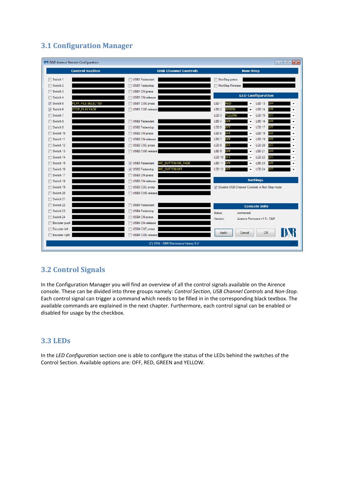# 3.1 Configuration Manager



## 3.2 Control Signals

In the Configuration Manager you will find an overview of all the control signals available on the Airence console. These can be divided into three groups namely: Control Section, USB Channel Controls and Non-Stop. Each control signal can trigger a command which needs to be filled in in the corresponding black textbox. The available commands are explained in the next chapter. Furthermore, each control signal can be enabled or disabled for usage by the checkbox.

#### 3.3 LEDs

In the LED Configuration section one is able to configure the status of the LEDs behind the switches of the Control Section. Available options are: OFF, RED, GREEN and YELLOW.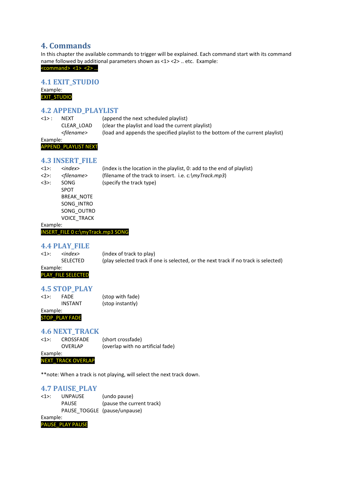### 4. Commands

In this chapter the available commands to trigger will be explained. Each command start with its command name followed by additional parameters shown as <1> <2> .. etc. Example:

<command> <1> <2> …

#### 4.1 EXIT\_STUDIO

Example: EXIT\_STUDIO

#### 4.2 APPEND\_PLAYLIST

| <1> :    | <b>NFXT</b>           | (append the next scheduled playlist)                                            |
|----------|-----------------------|---------------------------------------------------------------------------------|
|          | CLEAR LOAD            | (clear the playlist and load the current playlist)                              |
|          | <filename></filename> | (load and appends the specified playlist to the bottom of the current playlist) |
| Example: |                       |                                                                                 |

#### APPEND\_PLAYLIST NEXT

#### 4.3 INSERT\_FILE

| $<1>$ :  | $\langle$ index $\rangle$ | (index is the location in the playlist, 0: add to the end of playlist) |
|----------|---------------------------|------------------------------------------------------------------------|
| $2$ :    | <filename></filename>     | (filename of the track to insert. i.e. $c:\myTrack.mp3$ )              |
| 32:      | SONG                      | (specify the track type)                                               |
|          | <b>SPOT</b>               |                                                                        |
|          | <b>BREAK NOTE</b>         |                                                                        |
|          | SONG INTRO                |                                                                        |
|          | SONG OUTRO                |                                                                        |
|          | <b>VOICE TRACK</b>        |                                                                        |
| Example: |                           |                                                                        |

INSERT\_FILE 0 c:\myTrack.mp3 SONG

#### 4.4 PLAY\_FILE

<1>: <index> (index of track to play) SELECTED (play selected track if one is selected, or the next track if no track is selected)

Example: PLAY\_FILE SELECTED

#### 4.5 STOP\_PLAY

<1>: FADE (stop with fade) INSTANT (stop instantly)

Example: STOP\_PLAY FADE

#### 4.6 NEXT\_TRACK

<1>: CROSSFADE (short crossfade) OVERLAP (overlap with no artificial fade) Example:

NEXT\_TRACK OVERLAP

\*\*note: When a track is not playing, will select the next track down.

#### 4.7 PAUSE\_PLAY

| $<1>$ :  | <b>UNPAUSE</b> | (undo pause)                 |
|----------|----------------|------------------------------|
|          | <b>PAUSE</b>   | (pause the current track)    |
|          |                | PAUSE TOGGLE (pause/unpause) |
| Example: |                |                              |

PAUSE\_PLAY PAUSE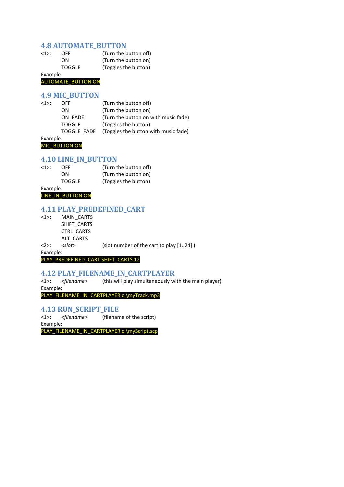#### 4.8 AUTOMATE\_BUTTON

| $<1>$ : | <b>OFF</b>    | (Turn the button off) |
|---------|---------------|-----------------------|
|         | ON.           | (Turn the button on)  |
|         | <b>TOGGLE</b> | (Toggles the button)  |

Example:

AUTOMATE\_BUTTON ON

#### 4.9 MIC\_BUTTON

| $<1>$ : | OFF.          | (Turn the button off)                |
|---------|---------------|--------------------------------------|
|         | ON            | (Turn the button on)                 |
|         | ON FADE       | (Turn the button on with music fade) |
|         | <b>TOGGLE</b> | (Toggles the button)                 |
|         | TOGGLE FADE   | (Toggles the button with music fade) |
| Ev      |               |                                      |

Example: **MIC\_BUTTON ON** 

#### 4.10 LINE\_IN\_BUTTON

| OFF.          | (Turn the button off) |
|---------------|-----------------------|
| 0N.           | (Turn the button on)  |
| <b>TOGGLE</b> | (Toggles the button)  |
|               |                       |

Example: LINE\_IN\_BUTTON ON

# 4.11 PLAY\_PREDEFINED\_CART

<1>: MAIN\_CARTS SHIFT\_CARTS CTRL\_CARTS ALT\_CARTS

<2>: <slot> (slot number of the cart to play [1..24] )

Example:

PLAY\_PREDEFINED\_CART SHIFT\_CARTS 12

# 4.12 PLAY\_FILENAME\_IN\_CARTPLAYER<br><1>: <filename> (this will play simultaneously w

(this will play simultaneously with the main player) Example:

PLAY\_FILENAME\_IN\_CARTPLAYER c:\myTrack.mp3

#### 4.13 RUN\_SCRIPT\_FILE

<1>: <filename> (filename of the script)

Example:

PLAY\_FILENAME\_IN\_CARTPLAYER c:\myScript.scp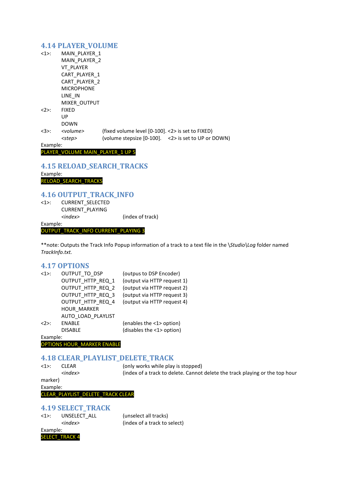#### 4.14 PLAYER\_VOLUME

| $<1>$ :  | MAIN PLAYER 1     |                                                     |
|----------|-------------------|-----------------------------------------------------|
|          | MAIN PLAYER 2     |                                                     |
|          | <b>VT PLAYER</b>  |                                                     |
|          | CART PLAYER 1     |                                                     |
|          | CART PLAYER 2     |                                                     |
|          | <b>MICROPHONE</b> |                                                     |
|          | LINE IN           |                                                     |
|          | MIXER OUTPUT      |                                                     |
| <2>:     | <b>FIXED</b>      |                                                     |
|          | UP                |                                                     |
|          | <b>DOWN</b>       |                                                     |
| <3>:     | <volume></volume> | (fixed volume level [0-100]. <2> is set to FIXED)   |
|          | <step></step>     | (volume stepsize [0-100]. <2> is set to UP or DOWN) |
| Example: |                   |                                                     |
|          |                   |                                                     |

#### PLAYER\_VOLUME MAIN\_PLAYER\_1 UP 5

#### 4.15 RELOAD\_SEARCH\_TRACKS

Example: RELOAD\_SEARCH\_TRACKS

# 4.16 OUTPUT\_TRACK\_INFO

CURRENT\_SELECTED CURRENT\_PLAYING <index> (index of track) Example:

#### OUTPUT\_TRACK\_INFO CURRENT\_PLAYING 3

\*\*note: Outputs the Track Info Popup information of a track to a text file in the \Studio\Log folder named TrackInfo.txt.

#### 4.17 OPTIONS

| $<1>$ :  | OUTPUT TO DSP      | (outpus to DSP Encoder)     |
|----------|--------------------|-----------------------------|
|          | OUTPUT HTTP REQ 1  | (output via HTTP request 1) |
|          | OUTPUT HTTP REQ 2  | (output via HTTP request 2) |
|          | OUTPUT HTTP REQ 3  | (output via HTTP request 3) |
|          | OUTPUT HTTP REQ 4  | (output via HTTP request 4) |
|          | <b>HOUR MARKER</b> |                             |
|          | AUTO LOAD PLAYLIST |                             |
| 2        | <b>ENABLE</b>      | (enables the <1> option)    |
|          | <b>DISABLE</b>     | (disables the <1> option)   |
| Example: |                    |                             |

OPTIONS HOUR\_MARKER ENABLE

# 4.18 CLEAR\_PLAYLIST\_DELETE\_TRACK

<1>: CLEAR (only works while play is stopped) <index>
(index of a track to delete. Cannot delete the track playing or the top hour marker) Example:

#### CLEAR\_PLAYLIST\_DELETE\_TRACK CLEAR

#### 4.19 SELECT\_TRACK

<1>: UNSELECT\_ALL (unselect all tracks)

<index> (index of a track to select)

Example: **SELECT TRACK 4**